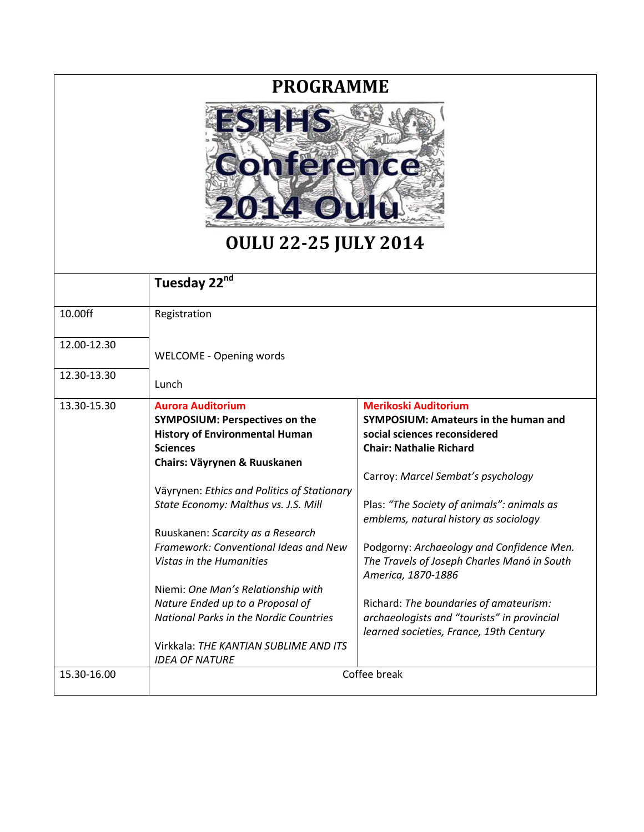## **PROGRAMME**



## **OULU 22-25 JULY 2014**

|             | Tuesday 22nd                                                                                                                                                  |                                                                                                                                              |
|-------------|---------------------------------------------------------------------------------------------------------------------------------------------------------------|----------------------------------------------------------------------------------------------------------------------------------------------|
| 10.00ff     | Registration                                                                                                                                                  |                                                                                                                                              |
| 12.00-12.30 | <b>WELCOME - Opening words</b>                                                                                                                                |                                                                                                                                              |
| 12.30-13.30 | Lunch                                                                                                                                                         |                                                                                                                                              |
| 13.30-15.30 | <b>Aurora Auditorium</b><br><b>SYMPOSIUM: Perspectives on the</b><br><b>History of Environmental Human</b><br><b>Sciences</b><br>Chairs: Väyrynen & Ruuskanen | <b>Merikoski Auditorium</b><br><b>SYMPOSIUM: Amateurs in the human and</b><br>social sciences reconsidered<br><b>Chair: Nathalie Richard</b> |
|             | Väyrynen: Ethics and Politics of Stationary                                                                                                                   | Carroy: Marcel Sembat's psychology                                                                                                           |
|             | State Economy: Malthus vs. J.S. Mill                                                                                                                          | Plas: "The Society of animals": animals as<br>emblems, natural history as sociology                                                          |
|             | Ruuskanen: Scarcity as a Research                                                                                                                             |                                                                                                                                              |
|             | Framework: Conventional Ideas and New<br>Vistas in the Humanities                                                                                             | Podgorny: Archaeology and Confidence Men.<br>The Travels of Joseph Charles Manó in South<br>America, 1870-1886                               |
|             | Niemi: One Man's Relationship with                                                                                                                            |                                                                                                                                              |
|             | Nature Ended up to a Proposal of                                                                                                                              | Richard: The boundaries of amateurism:                                                                                                       |
|             | National Parks in the Nordic Countries                                                                                                                        | archaeologists and "tourists" in provincial<br>learned societies, France, 19th Century                                                       |
|             | Virkkala: THE KANTIAN SUBLIME AND ITS<br><b>IDEA OF NATURE</b>                                                                                                |                                                                                                                                              |
| 15.30-16.00 | Coffee break                                                                                                                                                  |                                                                                                                                              |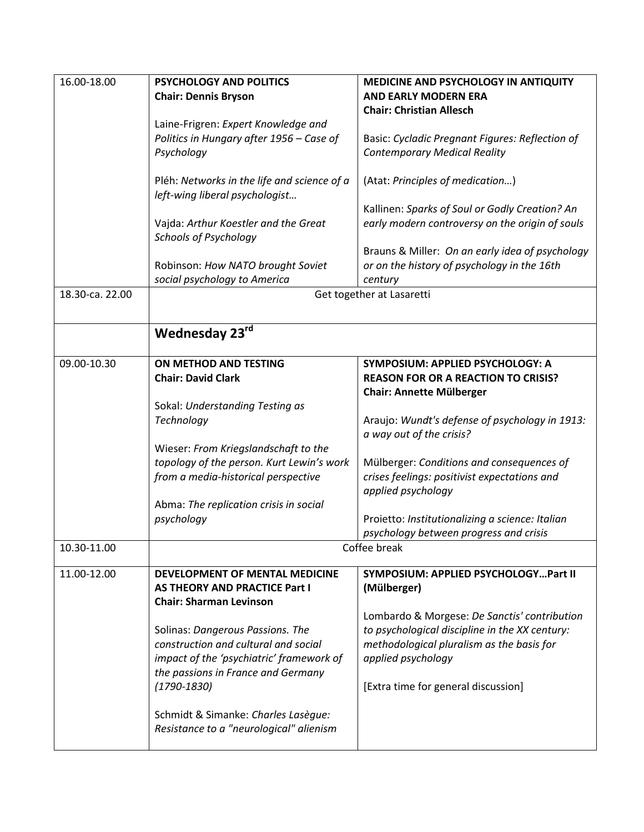| 16.00-18.00     | <b>PSYCHOLOGY AND POLITICS</b>              | MEDICINE AND PSYCHOLOGY IN ANTIQUITY            |
|-----------------|---------------------------------------------|-------------------------------------------------|
|                 | <b>Chair: Dennis Bryson</b>                 | <b>AND EARLY MODERN ERA</b>                     |
|                 |                                             | <b>Chair: Christian Allesch</b>                 |
|                 | Laine-Frigren: Expert Knowledge and         |                                                 |
|                 | Politics in Hungary after 1956 - Case of    | Basic: Cycladic Pregnant Figures: Reflection of |
|                 | Psychology                                  | <b>Contemporary Medical Reality</b>             |
|                 |                                             |                                                 |
|                 | Pléh: Networks in the life and science of a | (Atat: Principles of medication)                |
|                 | left-wing liberal psychologist              |                                                 |
|                 |                                             | Kallinen: Sparks of Soul or Godly Creation? An  |
|                 | Vajda: Arthur Koestler and the Great        | early modern controversy on the origin of souls |
|                 | <b>Schools of Psychology</b>                |                                                 |
|                 |                                             | Brauns & Miller: On an early idea of psychology |
|                 | Robinson: How NATO brought Soviet           | or on the history of psychology in the 16th     |
| 18.30-ca. 22.00 | social psychology to America                | century                                         |
|                 | Get together at Lasaretti                   |                                                 |
|                 |                                             |                                                 |
|                 | Wednesday 23rd                              |                                                 |
|                 |                                             |                                                 |
| 09.00-10.30     | ON METHOD AND TESTING                       | SYMPOSIUM: APPLIED PSYCHOLOGY: A                |
|                 | <b>Chair: David Clark</b>                   | <b>REASON FOR OR A REACTION TO CRISIS?</b>      |
|                 |                                             | <b>Chair: Annette Mülberger</b>                 |
|                 | Sokal: Understanding Testing as             |                                                 |
|                 | Technology                                  | Araujo: Wundt's defense of psychology in 1913:  |
|                 |                                             | a way out of the crisis?                        |
|                 | Wieser: From Kriegslandschaft to the        |                                                 |
|                 | topology of the person. Kurt Lewin's work   | Mülberger: Conditions and consequences of       |
|                 | from a media-historical perspective         | crises feelings: positivist expectations and    |
|                 |                                             | applied psychology                              |
|                 | Abma: The replication crisis in social      |                                                 |
|                 | psychology                                  | Proietto: Institutionalizing a science: Italian |
|                 |                                             | psychology between progress and crisis          |
| 10.30-11.00     | Coffee break                                |                                                 |
| 11.00-12.00     | DEVELOPMENT OF MENTAL MEDICINE              | SYMPOSIUM: APPLIED PSYCHOLOGYPart II            |
|                 | <b>AS THEORY AND PRACTICE Part I</b>        | (Mülberger)                                     |
|                 | <b>Chair: Sharman Levinson</b>              |                                                 |
|                 |                                             | Lombardo & Morgese: De Sanctis' contribution    |
|                 | Solinas: Dangerous Passions. The            | to psychological discipline in the XX century:  |
|                 | construction and cultural and social        | methodological pluralism as the basis for       |
|                 | impact of the 'psychiatric' framework of    | applied psychology                              |
|                 | the passions in France and Germany          |                                                 |
|                 | $(1790 - 1830)$                             | [Extra time for general discussion]             |
|                 |                                             |                                                 |
|                 | Schmidt & Simanke: Charles Lasègue:         |                                                 |
|                 | Resistance to a "neurological" alienism     |                                                 |
|                 |                                             |                                                 |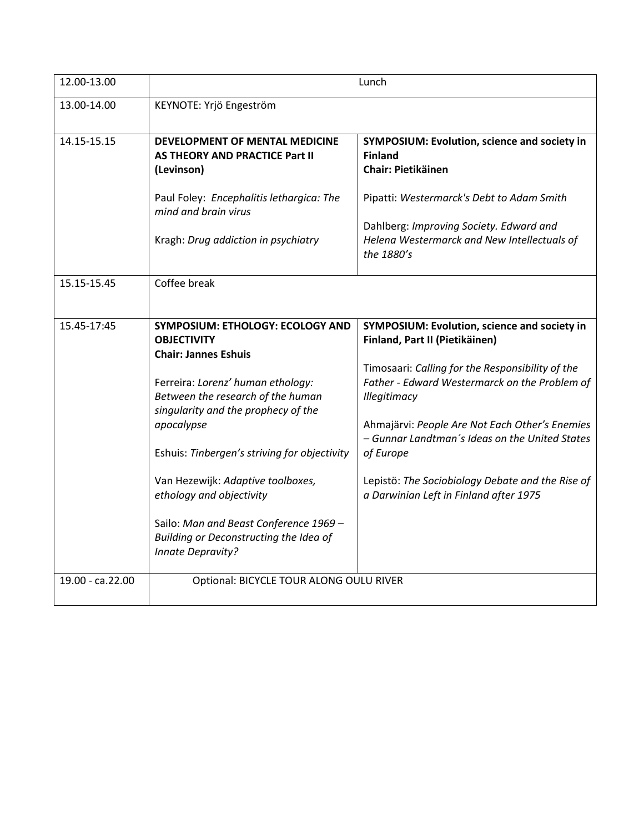| 12.00-13.00      | Lunch                                                                                                                                                                                                                                                                                                                                                                                                                                                        |                                                                                                                                                                                                                                                                                                                                                                                                                    |
|------------------|--------------------------------------------------------------------------------------------------------------------------------------------------------------------------------------------------------------------------------------------------------------------------------------------------------------------------------------------------------------------------------------------------------------------------------------------------------------|--------------------------------------------------------------------------------------------------------------------------------------------------------------------------------------------------------------------------------------------------------------------------------------------------------------------------------------------------------------------------------------------------------------------|
| 13.00-14.00      | KEYNOTE: Yrjö Engeström                                                                                                                                                                                                                                                                                                                                                                                                                                      |                                                                                                                                                                                                                                                                                                                                                                                                                    |
| 14.15-15.15      | <b>DEVELOPMENT OF MENTAL MEDICINE</b><br>AS THEORY AND PRACTICE Part II<br>(Levinson)                                                                                                                                                                                                                                                                                                                                                                        | SYMPOSIUM: Evolution, science and society in<br><b>Finland</b><br><b>Chair: Pietikäinen</b>                                                                                                                                                                                                                                                                                                                        |
|                  | Paul Foley: Encephalitis lethargica: The<br>mind and brain virus                                                                                                                                                                                                                                                                                                                                                                                             | Pipatti: Westermarck's Debt to Adam Smith                                                                                                                                                                                                                                                                                                                                                                          |
|                  | Kragh: Drug addiction in psychiatry                                                                                                                                                                                                                                                                                                                                                                                                                          | Dahlberg: Improving Society. Edward and<br>Helena Westermarck and New Intellectuals of<br>the 1880's                                                                                                                                                                                                                                                                                                               |
| 15.15-15.45      | Coffee break                                                                                                                                                                                                                                                                                                                                                                                                                                                 |                                                                                                                                                                                                                                                                                                                                                                                                                    |
| 15.45-17:45      | <b>SYMPOSIUM: ETHOLOGY: ECOLOGY AND</b><br><b>OBJECTIVITY</b><br><b>Chair: Jannes Eshuis</b><br>Ferreira: Lorenz' human ethology:<br>Between the research of the human<br>singularity and the prophecy of the<br>apocalypse<br>Eshuis: Tinbergen's striving for objectivity<br>Van Hezewijk: Adaptive toolboxes,<br>ethology and objectivity<br>Sailo: Man and Beast Conference 1969 -<br>Building or Deconstructing the Idea of<br><b>Innate Depravity?</b> | SYMPOSIUM: Evolution, science and society in<br>Finland, Part II (Pietikäinen)<br>Timosaari: Calling for the Responsibility of the<br>Father - Edward Westermarck on the Problem of<br>Illegitimacy<br>Ahmajärvi: People Are Not Each Other's Enemies<br>- Gunnar Landtman's Ideas on the United States<br>of Europe<br>Lepistö: The Sociobiology Debate and the Rise of<br>a Darwinian Left in Finland after 1975 |
| 19.00 - ca.22.00 | Optional: BICYCLE TOUR ALONG OULU RIVER                                                                                                                                                                                                                                                                                                                                                                                                                      |                                                                                                                                                                                                                                                                                                                                                                                                                    |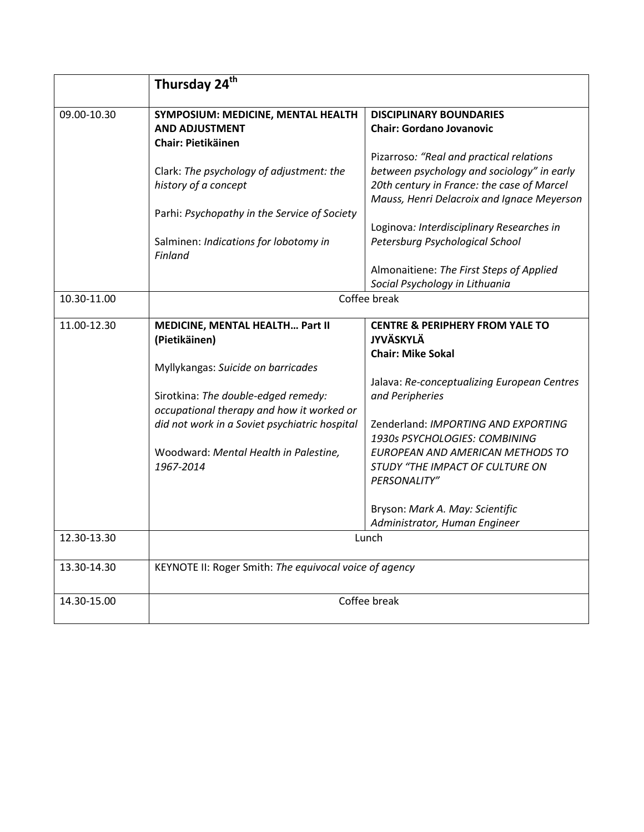|             | Thursday 24 <sup>th</sup>                              |                                             |
|-------------|--------------------------------------------------------|---------------------------------------------|
| 09.00-10.30 | SYMPOSIUM: MEDICINE, MENTAL HEALTH                     | <b>DISCIPLINARY BOUNDARIES</b>              |
|             | <b>AND ADJUSTMENT</b>                                  | <b>Chair: Gordano Jovanovic</b>             |
|             | <b>Chair: Pietikäinen</b>                              |                                             |
|             |                                                        | Pizarroso: "Real and practical relations    |
|             | Clark: The psychology of adjustment: the               | between psychology and sociology" in early  |
|             | history of a concept                                   | 20th century in France: the case of Marcel  |
|             |                                                        | Mauss, Henri Delacroix and Ignace Meyerson  |
|             | Parhi: Psychopathy in the Service of Society           |                                             |
|             |                                                        | Loginova: Interdisciplinary Researches in   |
|             | Salminen: Indications for lobotomy in<br>Finland       | Petersburg Psychological School             |
|             |                                                        | Almonaitiene: The First Steps of Applied    |
|             |                                                        | Social Psychology in Lithuania              |
| 10.30-11.00 | Coffee break                                           |                                             |
| 11.00-12.30 | MEDICINE, MENTAL HEALTH Part II                        | <b>CENTRE &amp; PERIPHERY FROM YALE TO</b>  |
|             | (Pietikäinen)                                          | <b>JYVÄSKYLÄ</b>                            |
|             |                                                        | <b>Chair: Mike Sokal</b>                    |
|             | Myllykangas: Suicide on barricades                     |                                             |
|             |                                                        | Jalava: Re-conceptualizing European Centres |
|             | Sirotkina: The double-edged remedy:                    | and Peripheries                             |
|             | occupational therapy and how it worked or              |                                             |
|             | did not work in a Soviet psychiatric hospital          | Zenderland: IMPORTING AND EXPORTING         |
|             |                                                        | 1930s PSYCHOLOGIES: COMBINING               |
|             | Woodward: Mental Health in Palestine,                  | EUROPEAN AND AMERICAN METHODS TO            |
|             | 1967-2014                                              | STUDY "THE IMPACT OF CULTURE ON             |
|             |                                                        | PERSONALITY"                                |
|             |                                                        | Bryson: Mark A. May: Scientific             |
|             |                                                        | Administrator, Human Engineer               |
| 12.30-13.30 |                                                        | Lunch                                       |
|             |                                                        |                                             |
| 13.30-14.30 | KEYNOTE II: Roger Smith: The equivocal voice of agency |                                             |
| 14.30-15.00 | Coffee break                                           |                                             |
|             |                                                        |                                             |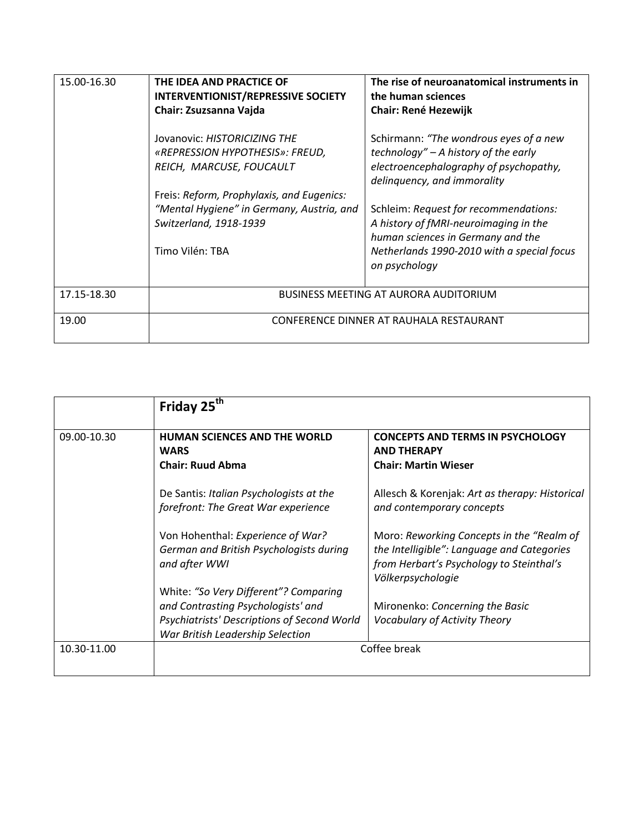| 15.00-16.30 | THE IDEA AND PRACTICE OF<br><b>INTERVENTIONIST/REPRESSIVE SOCIETY</b><br>Chair: Zsuzsanna Vajda                                     | The rise of neuroanatomical instruments in<br>the human sciences<br><b>Chair: René Hezewijk</b>                                                                                    |
|-------------|-------------------------------------------------------------------------------------------------------------------------------------|------------------------------------------------------------------------------------------------------------------------------------------------------------------------------------|
|             | Jovanovic: HISTORICIZING THE<br>«REPRESSION HYPOTHESIS»: FREUD,<br>REICH, MARCUSE, FOUCAULT                                         | Schirmann: "The wondrous eyes of a new<br>technology" – A history of the early<br>electroencephalography of psychopathy,<br>delinguency, and immorality                            |
|             | Freis: Reform, Prophylaxis, and Eugenics:<br>"Mental Hygiene" in Germany, Austria, and<br>Switzerland, 1918-1939<br>Timo Vilén: TBA | Schleim: Request for recommendations:<br>A history of fMRI-neuroimaging in the<br>human sciences in Germany and the<br>Netherlands 1990-2010 with a special focus<br>on psychology |
| 17.15-18.30 | <b>BUSINESS MEETING AT AURORA AUDITORIUM</b>                                                                                        |                                                                                                                                                                                    |
| 19.00       | CONFERENCE DINNER AT RAUHALA RESTAURANT                                                                                             |                                                                                                                                                                                    |

|             | Friday 25 <sup>th</sup>                     |                                                |
|-------------|---------------------------------------------|------------------------------------------------|
|             |                                             |                                                |
| 09.00-10.30 | <b>HUMAN SCIENCES AND THE WORLD</b>         | <b>CONCEPTS AND TERMS IN PSYCHOLOGY</b>        |
|             | <b>WARS</b>                                 | <b>AND THERAPY</b>                             |
|             | <b>Chair: Ruud Abma</b>                     | <b>Chair: Martin Wieser</b>                    |
|             |                                             |                                                |
|             | De Santis: Italian Psychologists at the     | Allesch & Korenjak: Art as therapy: Historical |
|             | forefront: The Great War experience         | and contemporary concepts                      |
|             |                                             |                                                |
|             | Von Hohenthal: Experience of War?           | Moro: Reworking Concepts in the "Realm of      |
|             | German and British Psychologists during     | the Intelligible": Language and Categories     |
|             | and after WWI                               | from Herbart's Psychology to Steinthal's       |
|             |                                             | Völkerpsychologie                              |
|             | White: "So Very Different"? Comparing       |                                                |
|             | and Contrasting Psychologists' and          | Mironenko: Concerning the Basic                |
|             | Psychiatrists' Descriptions of Second World | <b>Vocabulary of Activity Theory</b>           |
|             | War British Leadership Selection            |                                                |
| 10.30-11.00 | Coffee break                                |                                                |
|             |                                             |                                                |
|             |                                             |                                                |